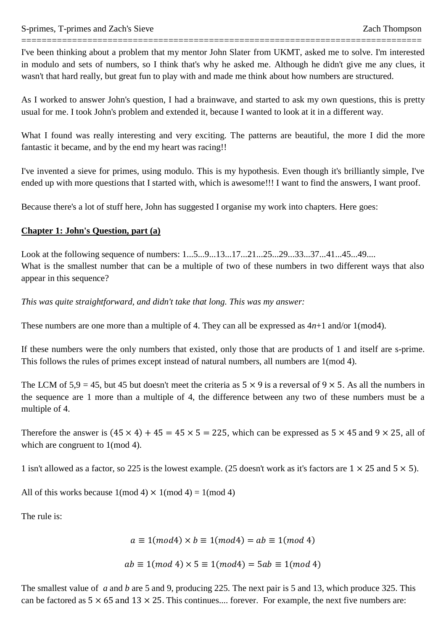I've been thinking about a problem that my mentor John Slater from UKMT, asked me to solve. I'm interested in modulo and sets of numbers, so I think that's why he asked me. Although he didn't give me any clues, it wasn't that hard really, but great fun to play with and made me think about how numbers are structured.

===============================================================================

As I worked to answer John's question, I had a brainwave, and started to ask my own questions, this is pretty usual for me. I took John's problem and extended it, because I wanted to look at it in a different way.

What I found was really interesting and very exciting. The patterns are beautiful, the more I did the more fantastic it became, and by the end my heart was racing!!

I've invented a sieve for primes, using modulo. This is my hypothesis. Even though it's brilliantly simple, I've ended up with more questions that I started with, which is awesome!!! I want to find the answers, I want proof.

Because there's a lot of stuff here, John has suggested I organise my work into chapters. Here goes:

#### **Chapter 1: John's Question, part (a)**

Look at the following sequence of numbers: 1...5...9...13...17...21...25...29...33...37...41...45...49.... What is the smallest number that can be a multiple of two of these numbers in two different ways that also appear in this sequence?

*This was quite straightforward, and didn't take that long. This was my answer:*

These numbers are one more than a multiple of 4. They can all be expressed as 4*n*+1 and/or 1(mod4).

If these numbers were the only numbers that existed, only those that are products of 1 and itself are s-prime. This follows the rules of primes except instead of natural numbers, all numbers are 1(mod 4).

The LCM of  $5.9 = 45$ , but 45 but doesn't meet the criteria as  $5 \times 9$  is a reversal of  $9 \times 5$ . As all the numbers in the sequence are 1 more than a multiple of 4, the difference between any two of these numbers must be a multiple of 4.

Therefore the answer is  $(45 \times 4) + 45 = 45 \times 5 = 225$ , which can be expressed as  $5 \times 45$  and  $9 \times 25$ , all of which are congruent to  $1 \pmod{4}$ .

1 isn't allowed as a factor, so 225 is the lowest example. (25 doesn't work as it's factors are  $1 \times 25$  and  $5 \times 5$ ).

All of this works because  $1 \pmod{4} \times 1 \pmod{4} = 1 \pmod{4}$ 

The rule is:

 $a \equiv 1 \pmod{4}$   $\times b \equiv 1 \pmod{4}$  =  $ab \equiv 1 \pmod{4}$ 

$$
ab \equiv 1 \pmod{4} \times 5 \equiv 1 \pmod{4} = 5ab \equiv 1 \pmod{4}
$$

The smallest value of *a* and *b* are 5 and 9, producing 225. The next pair is 5 and 13, which produce 325. This can be factored as  $5 \times 65$  and  $13 \times 25$ . This continues.... forever. For example, the next five numbers are: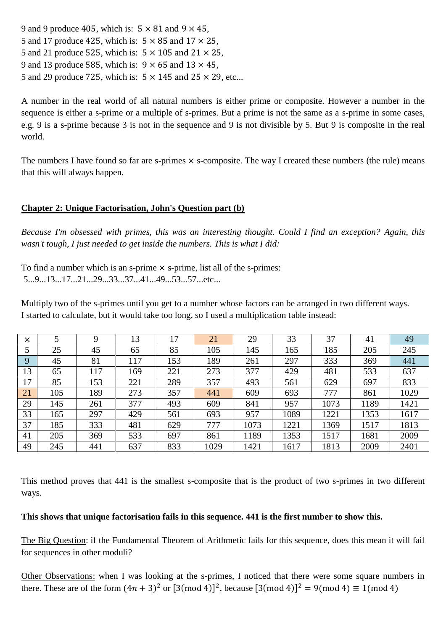9 and 9 produce 405, which is:  $5 \times 81$  and  $9 \times 45$ , 5 and 17 produce 425, which is:  $5 \times 85$  and  $17 \times 25$ , 5 and 21 produce 525, which is:  $5 \times 105$  and 21  $\times$  25, 9 and 13 produce 585, which is:  $9 \times 65$  and  $13 \times 45$ , 5 and 29 produce 725, which is:  $5 \times 145$  and  $25 \times 29$ , etc...

A number in the real world of all natural numbers is either prime or composite. However a number in the sequence is either a s-prime or a multiple of s-primes. But a prime is not the same as a s-prime in some cases, e.g. 9 is a s-prime because 3 is not in the sequence and 9 is not divisible by 5. But 9 is composite in the real world.

The numbers I have found so far are s-primes  $\times$  s-composite. The way I created these numbers (the rule) means that this will always happen.

# **Chapter 2: Unique Factorisation, John's Question part (b)**

*Because I'm obsessed with primes, this was an interesting thought. Could I find an exception? Again, this wasn't tough, I just needed to get inside the numbers. This is what I did:*

To find a number which is an s-prime  $\times$  s-prime, list all of the s-primes: 5...9...13...17...21...29...33...37...41...49...53...57...etc...

Multiply two of the s-primes until you get to a number whose factors can be arranged in two different ways. I started to calculate, but it would take too long, so I used a multiplication table instead:

| $\times$ |     | 9   | 13  | 17  | 21   | 29   | 33   | 37   | 41   | 49   |
|----------|-----|-----|-----|-----|------|------|------|------|------|------|
|          | 25  | 45  | 65  | 85  | 105  | 145  | 165  | 185  | 205  | 245  |
| 9        | 45  | 81  | 117 | 153 | 189  | 261  | 297  | 333  | 369  | 441  |
| 13       | 65  | 117 | 169 | 221 | 273  | 377  | 429  | 481  | 533  | 637  |
| 17       | 85  | 153 | 221 | 289 | 357  | 493  | 561  | 629  | 697  | 833  |
| 21       | 105 | 189 | 273 | 357 | 441  | 609  | 693  | 777  | 861  | 1029 |
| 29       | 145 | 261 | 377 | 493 | 609  | 841  | 957  | 1073 | 1189 | 1421 |
| 33       | 165 | 297 | 429 | 561 | 693  | 957  | 1089 | 1221 | 1353 | 1617 |
| 37       | 185 | 333 | 481 | 629 | 777  | 1073 | 1221 | 1369 | 1517 | 1813 |
| 41       | 205 | 369 | 533 | 697 | 861  | 1189 | 1353 | 1517 | 1681 | 2009 |
| 49       | 245 | 441 | 637 | 833 | 1029 | 1421 | 1617 | 1813 | 2009 | 2401 |

This method proves that 441 is the smallest s-composite that is the product of two s-primes in two different ways.

### **This shows that unique factorisation fails in this sequence. 441 is the first number to show this.**

The Big Question: if the Fundamental Theorem of Arithmetic fails for this sequence, does this mean it will fail for sequences in other moduli?

Other Observations: when I was looking at the s-primes, I noticed that there were some square numbers in there. These are of the form  $(4n + 3)^2$  or  $[3 \text{ (mod 4)}]^2$ , because  $[3 \text{ (mod 4)}]^2$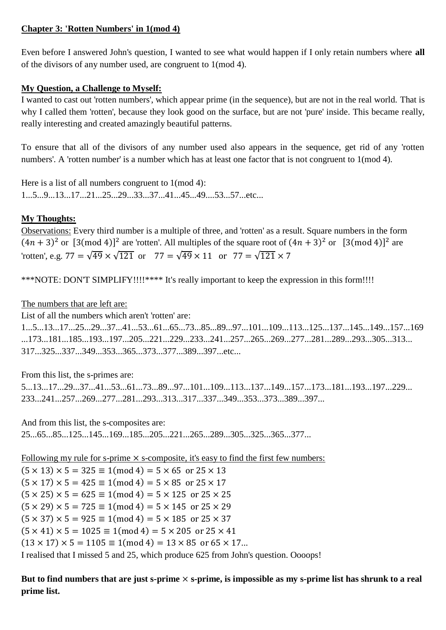# **Chapter 3: 'Rotten Numbers' in 1(mod 4)**

Even before I answered John's question, I wanted to see what would happen if I only retain numbers where **all** of the divisors of any number used, are congruent to 1(mod 4).

# **My Question, a Challenge to Myself:**

I wanted to cast out 'rotten numbers', which appear prime (in the sequence), but are not in the real world. That is why I called them 'rotten', because they look good on the surface, but are not 'pure' inside. This became really, really interesting and created amazingly beautiful patterns.

To ensure that all of the divisors of any number used also appears in the sequence, get rid of any 'rotten numbers'. A 'rotten number' is a number which has at least one factor that is not congruent to  $1 \pmod{4}$ .

Here is a list of all numbers congruent to  $1 \pmod{4}$ : 1...5...9...13...17...21...25...29...33...37...41...45...49....53...57...etc...

# **My Thoughts:**

Observations: Every third number is a multiple of three, and 'rotten' as a result. Square numbers in the form  $(4n + 3)^2$  or  $[3 \pmod{4}]^2$  are 'rotten'. All multiples of the square root of  $(4n + 3)^2$  or  $[3 \pmod{4}]^2$  are 'rotten', e.g.  $77 = \sqrt{49} \times \sqrt{121}$  or  $77 = \sqrt{49} \times 11$  or  $77 = \sqrt{121} \times 7$ 

\*\*\*NOTE: DON'T SIMPLIFY!!!!\*\*\*\* It's really important to keep the expression in this form!!!!

# The numbers that are left are:

List of all the numbers which aren't 'rotten' are:

1...5...13...17...25...29...37...41...53...61...65...73...85...89...97...101...109...113...125...137...145...149...157...169 ...173...181...185...193...197...205...221...229...233...241...257...265...269...277...281...289...293...305...313... 317...325...337...349...353...365...373...377...389...397...etc...

From this list, the s-primes are:

5...13...17...29...37...41...53...61...73...89...97...101...109...113...137...149...157...173...181...193...197...229... 233...241...257...269...277...281...293...313...317...337...349...353...373...389...397...

And from this list, the s-composites are: 25...65...85...125...145...169...185...205...221...265...289...305...325...365...377...

Following my rule for s-prime  $\times$  s-composite, it's easy to find the first few numbers:

 $(5 \times 13) \times 5 = 325 \equiv 1 \pmod{4} = 5 \times 65$  or  $25 \times 13$  $(5 \times 17) \times 5 = 425 \equiv 1 \pmod{4} = 5 \times 85$  or  $25 \times 17$  $(5 \times 25) \times 5 = 625 \equiv 1 \pmod{4} = 5 \times 125$  or  $25 \times 25$  $(5 \times 29) \times 5 = 725 \equiv 1 \pmod{4} = 5 \times 145$  or  $25 \times 29$  $(5 \times 37) \times 5 = 925 \equiv 1 \pmod{4} = 5 \times 185$  or  $25 \times 37$  $(5 \times 41) \times 5 = 1025 \equiv 1 \pmod{4} = 5 \times 205$  or  $25 \times 41$  $(13 \times 17) \times 5 = 1105 \equiv 1 \pmod{4} = 13 \times 85$  or 65  $\times$  17... I realised that I missed 5 and 25, which produce 625 from John's question. Oooops!

But to find numbers that are just s-prime  $\times$  s-prime, is impossible as my s-prime list has shrunk to a real **prime list.**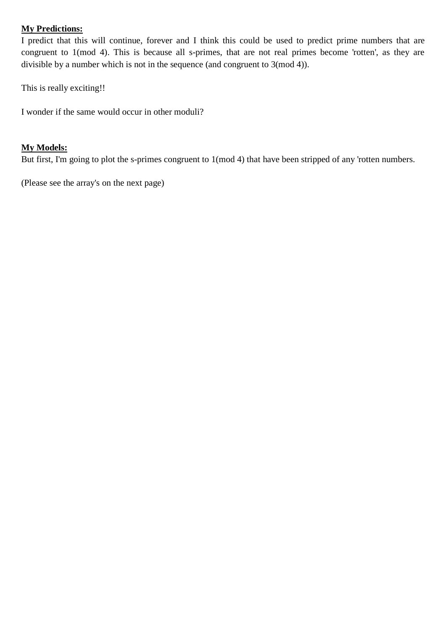# **My Predictions:**

I predict that this will continue, forever and I think this could be used to predict prime numbers that are congruent to 1(mod 4). This is because all s-primes, that are not real primes become 'rotten', as they are divisible by a number which is not in the sequence (and congruent to 3(mod 4)).

This is really exciting!!

I wonder if the same would occur in other moduli?

### **My Models:**

But first, I'm going to plot the s-primes congruent to 1(mod 4) that have been stripped of any 'rotten numbers.

(Please see the array's on the next page)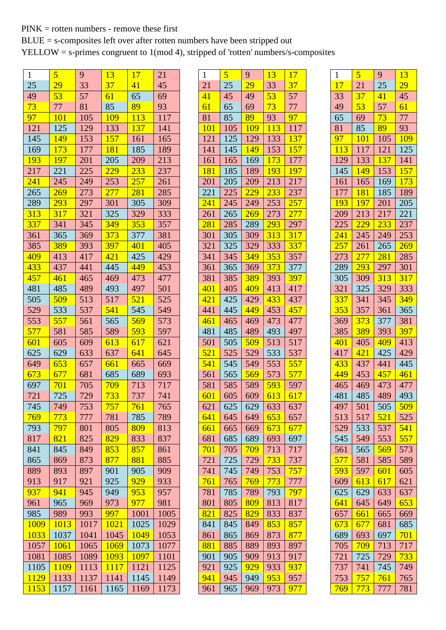# PINK = rotten numbers - remove these first

BLUE = s-composites left over after rotten numbers have been stripped out

YELLOW = s-primes congruent to 1(mod 4), stripped of 'rotten' numbers/s-composites

| $\mathbf{1}$    | 5           | 9    | 13               | 17         | 21   |
|-----------------|-------------|------|------------------|------------|------|
| 25              | 29          | 33   | 37               | 41         | 45   |
| 49              | 53          | 57   | 61               | 65         | 69   |
| 73              | 77          | 81   | 85               | 89         | 93   |
| $\overline{97}$ | 101         | 105  | 109              | 113        | 117  |
| 121             | 125         | 129  | 133              | 137        | 141  |
| 145             | 149         | 153  | 157              | 161        | 165  |
| 169             | 173         | 177  | 181              | 185        | 189  |
| 193             | 197         | 201  | 205              | 209        | 213  |
| 217             | 221         | 225  | 229              | <u>233</u> | 237  |
| 241             | 245         | 249  | 253              | 257        | 261  |
| 265             | 269         | 273  | <b>277</b>       | 281        | 285  |
| 289             | 293         | 297  | 301              | 305        | 309  |
| 313             | 317         | 321  | 325              | 329        | 333  |
| 337             | 341         | 345  | 349              | 353        | 357  |
| 361             | 365         | 369  | 373              | 377        | 381  |
| 385             | 389         | 393  | 397              | 401        | 405  |
| 409             | 413         | 417  | $\overline{421}$ | 425        | 429  |
| 433             | 437         | 441  | 445              | 449        | 453  |
| 457             | 461         | 465  | 469              | 473        | 477  |
| 481             | 485         | 489  | 493              | 497        | 501  |
| 505             | 509         | 513  | 517              | 521        | 525  |
| 529             | 533         | 537  | 541              | 545        | 549  |
| 553             | 557         | 561  | 565              | 569        | 573  |
| 577             | 581         | 585  | 589              | 593        | 597  |
| 601             | 605         | 609  | 613              | 617        | 621  |
| 625             | 629         | 633  | 637              | 641        | 645  |
| 649             | 653         | 657  | 661              | 665        | 669  |
| 673             | 677         | 681  | 685              | 689        | 693  |
| 697             | 701         | 705  | 709              | 713        | 717  |
| 721             | 725         | 729  | 733              | 737        | 741  |
| 745             | 749         | 753  | 757              | <u>761</u> | 765  |
| 769             | 773         | 777  | 781              | 785        | 789  |
| 793             | 797         | 801  | 805              | 809        | 813  |
| 817             | 821         | 825  | 829              | 833        | 837  |
| 841             | 845         | 849  | 853              | 857        | 861  |
| 865             | 869         | 873  | 877              | 881        | 885  |
| 889             | 893         | 897  | 901              | 905        | 909  |
| 913             | 917         | 921  | 925              | <u>929</u> | 933  |
| 937             | 941         | 945  | 949              | 953        | 957  |
| 961             | 965         | 969  | 973              | 977        | 981  |
| 985             | 989         | 993  | 997              | 1001       | 1005 |
| <b>1009</b>     | 1013        | 1017 | 1021             | 1025       | 1029 |
| 1033            | 1037        | 1041 | 1045             | 1049       | 1053 |
| 1057            | <b>1061</b> | 1065 | 1069             | 1073       | 1077 |
| 1081            | 1085        | 1089 | 1093             | 1097       | 1101 |
| 1105            | 1109        | 1113 | 1117             | 1121       | 1125 |
| 1129            | 1133        | 1137 | 1141             | 1145       | 1149 |
| 1153            | 1157        | 1161 | 1165             | 1169       | 1173 |

| 1                | $\overline{\mathbf{5}}$ | 9                | <u>13</u>  | 17               |
|------------------|-------------------------|------------------|------------|------------------|
| 21               | 25                      | 29               | 33         | 37               |
| 41               | 45                      | 49               | 53         | 57               |
| 61               | 65                      | 69               | 73         | 77               |
| 81               | 85                      | 89               | 93         | 97               |
| 101              | 105                     | <b>109</b>       | 113        | 117              |
| 121              | 125                     | 129              | 133        | 137              |
| 141              | 145                     | 149              | 153        | 157              |
| 161              | 165                     | 169              | 173        | 177              |
| 181              | 185                     | 189              | 193        | 197              |
| 201              | 205                     | 209              | 213        | 217              |
| 221              | 225                     | $\overline{229}$ | 233        | 237              |
| $\frac{241}{2}$  | 245                     | 249              | 253        | 257              |
| 261              | 265                     | 269              | 273        | $\overline{277}$ |
| 281              | 285                     | 289              | 293        | 297              |
| 301              | 305                     | 309              | 313        | $\overline{317}$ |
| 321              | 325                     | 329              | 333        | 337              |
| 341              | 345                     | $\overline{349}$ | 353        | 357              |
| 361              | 365                     | 369              | 373        | 377              |
| 381              | 385                     | 389              | 393        | 397              |
| $\overline{401}$ | 405                     | 409              | 413        | 417              |
| 421              | 425                     | 429              | 433        | 437              |
| 441              | 445                     | 449              | 453        | 457              |
| 461              | 465                     | 469              | 473        | 477              |
| 481              | 485                     | 489              | 493        | 497              |
| 501              | 505                     | 509              | 513        | 517              |
| 521              | 525                     | 529              | 533        | 537              |
| 541              | 545                     | 549              | 553        | 557              |
| 561              | 565                     | 569              | 573        | 577              |
| 581              | 585                     | 589              | 593        | 597              |
| 601              | 605                     | 609              | 613        | 617              |
| 621              | 625                     | 629              | 633        | 637              |
| 641              | 645                     | 649              | 653        | 657              |
| 661              | 665                     | 669              | 673        | 677              |
| 681              | 685                     | 689              | 693        | 697              |
| 701              | 705                     | <u>709</u>       | 713        | 717              |
| 721              | 725                     | 729              | 733        | 737              |
| 741              | 745                     | 749              | 753        | 757              |
| 761              | 765                     | 769              | <u>773</u> | 777              |
| 781              | 785                     | 789              | 793        | <mark>797</mark> |
| 801              | 805                     | 809              | 813        | 817              |
| 821              | 825                     | 829              | 833        | 837              |
| 841              | 845                     | 849              | 853        | 857              |
| 861              |                         | 869              | 873        | 877              |
| 881              | 865                     |                  |            |                  |
|                  | 885                     | 889<br>909       | 893        | 897              |
| 901              | 905                     | 929              | 913        | 917              |
| 921              | 925                     |                  | 933        | 937              |
| 941              | 945                     | 949              | 953        | 957              |
| 961              | 965                     | 969              | 973        | 977              |

| 1          | 5                | 9                | 13               |
|------------|------------------|------------------|------------------|
| 17         | 21               | 25               | 29               |
| 33         | 37               | 41               | 45               |
| 49         | 53               | 57               | 61               |
| 65         | 69               | $\overline{73}$  | 77               |
| 81         | 85               | 89               | 93               |
| 97         | 101              | 105              | 109              |
| 113        | 117              | 121              | 125              |
| 129        | 133              | 137              | 141              |
| 145        | 149              | 153              | 157              |
| 161        | 165              | 169              | 173              |
| 177        | 181              | 185              | 189              |
| 193        | 197              | 201              | 205              |
| 209        | 213              | 217              | 221              |
| 225        | 229              | 233              | 237              |
| 241        | 245              | 249              | 253              |
| 257        | 261              | 265              | <u>269</u>       |
| 273        | 277              | 281              | 285              |
| 289        | $\overline{293}$ | 297              | 301              |
| 305        | 309              | 313              | $\overline{317}$ |
| 321        | 325              | 329              | 333              |
| 337        | 341              | 345              |                  |
|            |                  |                  | <u>349</u>       |
| <b>353</b> | 357              | 361              | 365              |
| 369        | 373              | 377              | 381              |
| 385        | <b>389</b>       | 393              | 397              |
| 401        | 405              | 409              | 413              |
| 417        | 421              | 425              | 429              |
| 433        | 437              | 441              | 445              |
| 449        | 453              | 457              | 461              |
| 465        | 469              | 473              | 477              |
| 481        | 485              | 489              | 493              |
| 497        | 501              | 505              | <u>509</u>       |
| 513        | 517              | $\overline{521}$ | 525              |
| 529        | 533              | 537              | 541              |
| 545        | 549              | 553              | 557              |
| 561        | 565              | <u>569</u>       | 573              |
| 577        | 581              | 585              | 589              |
| 593        | 597              | 601              | 605              |
| 609        | 613              | 617              | 621              |
| 625        | 629              | 633              | 637              |
| 641        | 645              | 649              | 653              |
| 657        | 661              | 665              | 669              |
| 673        | 677              | 681              | 685              |
| 689        | 693              | 697              | <u>701</u>       |
| 705        | 709              | 713              | 717              |
| 721        | 725              | 729              | 733              |
| 737        | 741              | 745              | 749              |
| 753        | <mark>757</mark> | 761              | 765              |
| 769        | 773              | 777              | 781              |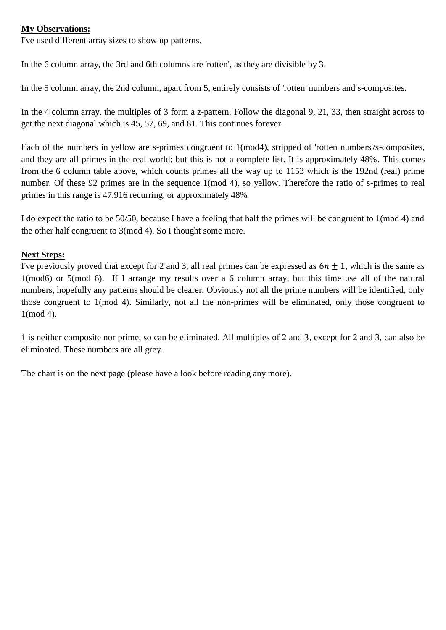#### **My Observations:**

I've used different array sizes to show up patterns.

In the 6 column array, the 3rd and 6th columns are 'rotten', as they are divisible by 3.

In the 5 column array, the 2nd column, apart from 5, entirely consists of 'rotten' numbers and s-composites.

In the 4 column array, the multiples of 3 form a z-pattern. Follow the diagonal 9, 21, 33, then straight across to get the next diagonal which is 45, 57, 69, and 81. This continues forever.

Each of the numbers in yellow are s-primes congruent to 1(mod4), stripped of 'rotten numbers'/s-composites, and they are all primes in the real world; but this is not a complete list. It is approximately 48%. This comes from the 6 column table above, which counts primes all the way up to 1153 which is the 192nd (real) prime number. Of these 92 primes are in the sequence 1(mod 4), so yellow. Therefore the ratio of s-primes to real primes in this range is 47.916 recurring, or approximately 48%

I do expect the ratio to be 50/50, because I have a feeling that half the primes will be congruent to 1(mod 4) and the other half congruent to 3(mod 4). So I thought some more.

### **Next Steps:**

I've previously proved that except for 2 and 3, all real primes can be expressed as  $6n \pm 1$ , which is the same as 1(mod6) or 5(mod 6). If I arrange my results over a 6 column array, but this time use all of the natural numbers, hopefully any patterns should be clearer. Obviously not all the prime numbers will be identified, only those congruent to 1(mod 4). Similarly, not all the non-primes will be eliminated, only those congruent to 1(mod 4).

1 is neither composite nor prime, so can be eliminated. All multiples of 2 and 3, except for 2 and 3, can also be eliminated. These numbers are all grey.

The chart is on the next page (please have a look before reading any more).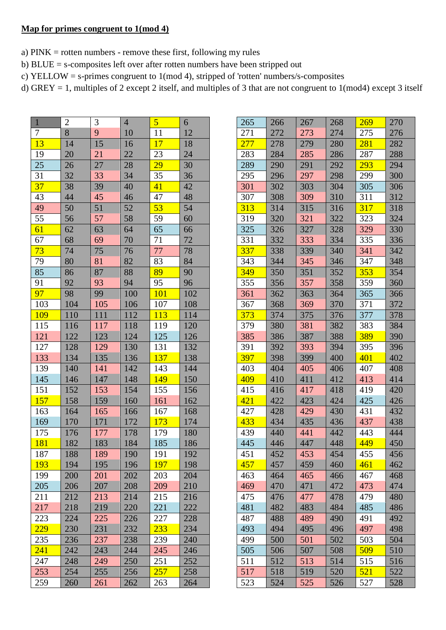### **Map for primes congruent to 1(mod 4)**

- a) PINK = rotten numbers remove these first, following my rules
- b) BLUE = s-composites left over after rotten numbers have been stripped out
- c) YELLOW = s-primes congruent to 1(mod 4), stripped of 'rotten' numbers/s-composites
- d) GREY = 1, multiples of 2 except 2 itself, and multiples of 3 that are not congruent to  $1 \pmod{4}$  except 3 itself

 $\overline{\phantom{0}}$ 

| $\mathbf{1}$ | $\overline{c}$ | 3   | 4               | $\overline{5}$   | 6   |
|--------------|----------------|-----|-----------------|------------------|-----|
| 7            | $\overline{8}$ | 9   | 10              | 11               | 12  |
| 13           | 14             | 15  | 16              | 17               | 18  |
| 19           | 20             | 21  | $\overline{22}$ | 23               | 24  |
| 25           | 26             | 27  | 28              | 29               | 30  |
| 31           | 32             | 33  | 34              | 35               | 36  |
| 37           | 38             | 39  | 40              | 41               | 42  |
| 43           | 44             | 45  | 46              | 47               | 48  |
| 49           | 50             | 51  | 52              | 53               | 54  |
| 55           | 56             | 57  | 58              | 59               | 60  |
| 61           | 62             | 63  | 64              | 65               | 66  |
| 67           | 68             | 69  | 70              | 71               | 72  |
| 73           | 74             | 75  | 76              | 77               | 78  |
| 79           | 80             | 81  | 82              | 83               | 84  |
| 85           | 86             | 87  | 88              | 89               | 90  |
| 91           | 92             | 93  | 94              | 95               | 96  |
| 97           | 98             | 99  | 100             | 101              | 102 |
| 103          | 104            | 105 | 106             | 107              | 108 |
| <b>109</b>   | 110            | 111 | 112             | 113              | 114 |
| 115          | 116            | 117 | 118             | 119              | 120 |
| 121          | 122            | 123 | 124             | 125              | 126 |
| 127          | 128            | 129 | 130             | 131              | 132 |
| 133          | 134            | 135 | 136             | 137              | 138 |
| 139          | 140            | 141 | 142             | 143              | 144 |
| 145          | 146            | 147 | 148             | 149              | 150 |
| 151          | 152            | 153 | 154             | 155              | 156 |
| 157          | 158            | 159 | 160             | 161              | 162 |
| 163          | 164            | 165 | 166             | 167              | 168 |
| 169          | 170            | 171 | 172             | 173              | 174 |
| 175          | 176            | 177 | 178             | 179              | 180 |
| 181          | 182            | 183 | 184             | 185              | 186 |
| 187          | 188            | 189 | 190             | $19\overline{1}$ | 192 |
| 193          | 194            | 195 | 196             | <b>197</b>       | 198 |
| 199          | 200            | 201 | 202             | 203              | 204 |
| 205          | 206            | 207 | 208             | 209              | 210 |
| 211          | 212            | 213 | 214             | 215              | 216 |
| 217          | 218            | 219 | 220             | 221              | 222 |
| 223          | 224            | 225 | 226             | 227              | 228 |
| 229          | 230            | 231 | 232             | 233              | 234 |
| 235          | 236            | 237 | 238             | 239              | 240 |
| <b>241</b>   | 242            | 243 | 244             | 245              | 246 |
| 247          | 248            | 249 | 250             | 251              | 252 |
| 253          | 254            | 255 | 256             | 257              | 258 |
| 259          | 260            | 261 | 262             | 263              | 264 |

| 265 | 266 | 267 | 268 | <b>269</b> | 270 |
|-----|-----|-----|-----|------------|-----|
| 271 | 272 | 273 | 274 | 275        | 276 |
| 277 | 278 | 279 | 280 | <b>281</b> | 282 |
| 283 | 284 | 285 | 286 | 287        | 288 |
| 289 | 290 | 291 | 292 | 293        | 294 |
| 295 | 296 | 297 | 298 | 299        | 300 |
| 301 | 302 | 303 | 304 | 305        | 306 |
| 307 | 308 | 309 | 310 | 311        | 312 |
| 313 | 314 | 315 | 316 | 317        | 318 |
| 319 | 320 | 321 | 322 | 323        | 324 |
| 325 | 326 | 327 | 328 | 329        | 330 |
| 331 | 332 | 333 | 334 | 335        | 336 |
| 337 | 338 | 339 | 340 | 341        | 342 |
| 343 | 344 | 345 | 346 | 347        | 348 |
| 349 | 350 | 351 | 352 | 353        | 354 |
| 355 | 356 | 357 | 358 | 359        | 360 |
| 361 | 362 | 363 | 364 | 365        | 366 |
| 367 | 368 | 369 | 370 | 371        | 372 |
| 373 | 374 | 375 | 376 | 377        | 378 |
| 379 | 380 | 381 | 382 | 383        | 384 |
| 385 | 386 | 387 | 388 | 389        | 390 |
| 391 | 392 | 393 | 394 | 395        | 396 |
| 397 | 398 | 399 | 400 | 401        | 402 |
| 403 | 404 | 405 | 406 | 407        | 408 |
| 409 | 410 | 411 | 412 | 413        | 414 |
| 415 | 416 | 417 | 418 | 419        | 420 |
| 421 | 422 | 423 | 424 | 425        | 426 |
| 427 | 428 | 429 | 430 | 431        | 432 |
| 433 | 434 | 435 | 436 | 437        | 438 |
| 439 | 440 | 441 | 442 | 443        | 444 |
| 445 | 446 | 447 | 448 | 449        | 450 |
| 451 | 452 | 453 | 454 | 455        | 456 |
| 457 | 457 | 459 | 460 | 461        | 462 |
| 463 | 464 | 465 | 466 | 467        | 468 |
| 469 | 470 | 471 | 472 | 473        | 474 |
| 475 | 476 | 477 | 478 | 479        | 480 |
| 481 | 482 | 483 | 484 | 485        | 486 |
| 487 | 488 | 489 | 490 | 491        | 492 |
| 493 | 494 | 495 | 496 | 497        | 498 |
| 499 | 500 | 501 | 502 | 503        | 504 |
| 505 | 506 | 507 | 508 | 509        | 510 |
| 511 | 512 | 513 | 514 | 515        | 516 |
| 517 | 518 | 519 | 520 | 521        | 522 |
| 523 | 524 | 525 | 526 | 527        | 528 |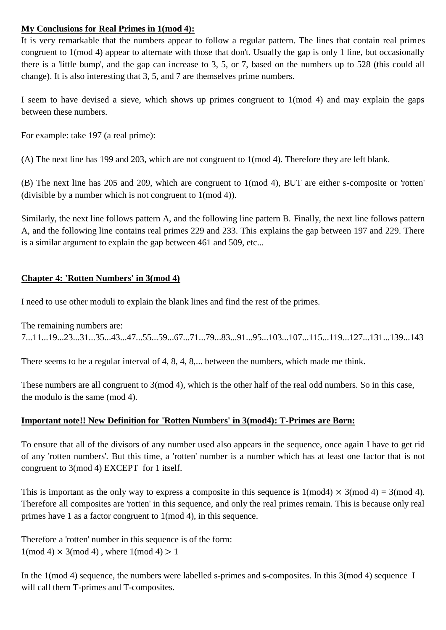# **My Conclusions for Real Primes in 1(mod 4):**

It is very remarkable that the numbers appear to follow a regular pattern. The lines that contain real primes congruent to 1(mod 4) appear to alternate with those that don't. Usually the gap is only 1 line, but occasionally there is a 'little bump', and the gap can increase to 3, 5, or 7, based on the numbers up to 528 (this could all change). It is also interesting that 3, 5, and 7 are themselves prime numbers.

I seem to have devised a sieve, which shows up primes congruent to 1(mod 4) and may explain the gaps between these numbers.

For example: take 197 (a real prime):

(A) The next line has 199 and 203, which are not congruent to 1(mod 4). Therefore they are left blank.

(B) The next line has 205 and 209, which are congruent to 1(mod 4), BUT are either s-composite or 'rotten' (divisible by a number which is not congruent to 1(mod 4)).

Similarly, the next line follows pattern A, and the following line pattern B. Finally, the next line follows pattern A, and the following line contains real primes 229 and 233. This explains the gap between 197 and 229. There is a similar argument to explain the gap between 461 and 509, etc...

# **Chapter 4: 'Rotten Numbers' in 3(mod 4)**

I need to use other moduli to explain the blank lines and find the rest of the primes.

The remaining numbers are: 7...11...19...23...31...35...43...47...55...59...67...71...79...83...91...95...103...107...115...119...127...131...139...143

There seems to be a regular interval of 4, 8, 4, 8,... between the numbers, which made me think.

These numbers are all congruent to 3(mod 4), which is the other half of the real odd numbers. So in this case, the modulo is the same (mod 4).

# **Important note!! New Definition for 'Rotten Numbers' in 3(mod4): T-Primes are Born:**

To ensure that all of the divisors of any number used also appears in the sequence, once again I have to get rid of any 'rotten numbers'. But this time, a 'rotten' number is a number which has at least one factor that is not congruent to 3(mod 4) EXCEPT for 1 itself.

This is important as the only way to express a composite in this sequence is  $1 \pmod{4} \times 3 \pmod{4} = 3 \pmod{4}$ . Therefore all composites are 'rotten' in this sequence, and only the real primes remain. This is because only real primes have 1 as a factor congruent to 1(mod 4), in this sequence.

Therefore a 'rotten' number in this sequence is of the form:  $1 \pmod{4} \times 3 \pmod{4}$ , where  $1 \pmod{4} > 1$ 

In the 1(mod 4) sequence, the numbers were labelled s-primes and s-composites. In this 3(mod 4) sequence I will call them T-primes and T-composites.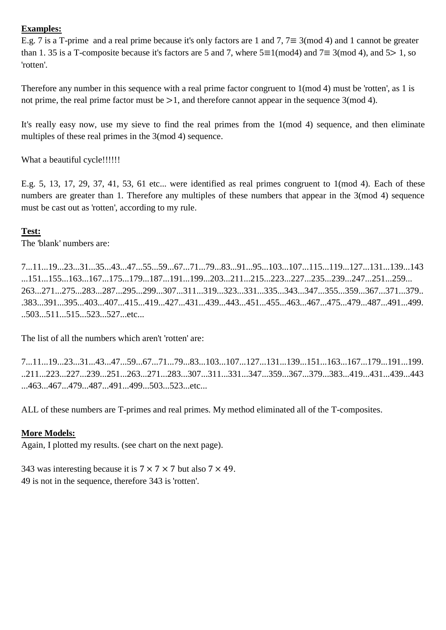### **Examples:**

E.g. 7 is a T-prime and a real prime because it's only factors are 1 and 7,  $7 \equiv 3 \pmod{4}$  and 1 cannot be greater than 1. 35 is a T-composite because it's factors are 5 and 7, where  $5 \equiv 1 \pmod{4}$  and  $7 \equiv 3 \pmod{4}$ , and  $5 > 1$ , so 'rotten'.

Therefore any number in this sequence with a real prime factor congruent to 1(mod 4) must be 'rotten', as 1 is not prime, the real prime factor must be  $>1$ , and therefore cannot appear in the sequence 3(mod 4).

It's really easy now, use my sieve to find the real primes from the 1(mod 4) sequence, and then eliminate multiples of these real primes in the 3(mod 4) sequence.

What a beautiful cycle!!!!!!!

E.g. 5, 13, 17, 29, 37, 41, 53, 61 etc... were identified as real primes congruent to 1(mod 4). Each of these numbers are greater than 1. Therefore any multiples of these numbers that appear in the 3(mod 4) sequence must be cast out as 'rotten', according to my rule.

# **Test:**

The 'blank' numbers are:

7...11...19...23...31...35...43...47...55...59...67...71...79...83...91...95...103...107...115...119...127...131...139...143 ...151...155...163...167...175...179...187...191...199...203...211...215...223...227...235...239...247...251...259... 263...271...275...283...287...295...299...307...311...319...323...331...335...343...347...355...359...367...371...379.. .383...391...395...403...407...415...419...427...431...439...443...451...455...463...467...475...479...487...491...499. ..503...511...515...523...527...etc...

The list of all the numbers which aren't 'rotten' are:

7...11...19...23...31...43...47...59...67...71...79...83...103...107...127...131...139...151...163...167...179...191...199. ..211...223...227...239...251...263...271...283...307...311...331...347...359...367...379...383...419...431...439...443 ...463...467...479...487...491...499...503...523...etc...

ALL of these numbers are T-primes and real primes. My method eliminated all of the T-composites.

# **More Models:**

Again, I plotted my results. (see chart on the next page).

343 was interesting because it is  $7 \times 7 \times 7$  but also  $7 \times 49$ . 49 is not in the sequence, therefore 343 is 'rotten'.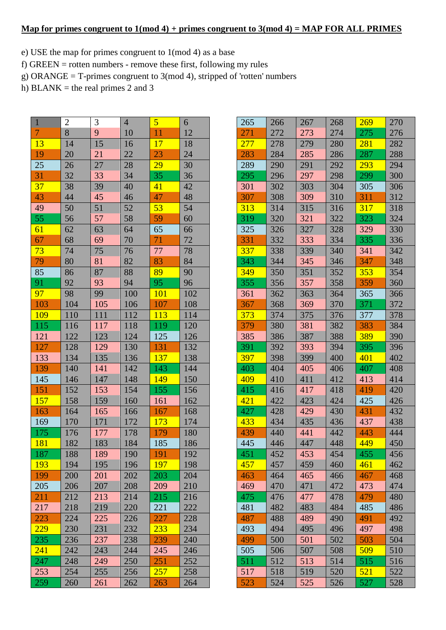#### **Map for primes congruent to 1(mod 4) + primes congruent to 3(mod 4) = MAP FOR ALL PRIMES**

- e) USE the map for primes congruent to 1(mod 4) as a base
- f) GREEN = rotten numbers remove these first, following my rules
- g) ORANGE = T-primes congruent to  $3 \pmod{4}$ , stripped of 'rotten' numbers
- h) BLANK = the real primes 2 and 3

| $\mathbf{1}$   | $\overline{2}$ | 3   | $\overline{4}$ | $\overline{\mathbf{5}}$ | 6   |
|----------------|----------------|-----|----------------|-------------------------|-----|
| $\overline{7}$ | 8              | 9   | 10             | 11                      | 12  |
| 13             | 14             | 15  | 16             | $\overline{17}$         | 18  |
| 19             | 20             | 21  | 22             | 23                      | 24  |
| 25             | 26             | 27  | 28             | 29                      | 30  |
| 31             | 32             | 33  | 34             | 35                      | 36  |
| 37             | 38             | 39  | 40             | 41                      | 42  |
| 43             | 44             | 45  | 46             | 47                      | 48  |
| 49             | 50             | 51  | 52             | 53                      | 54  |
| 55             | 56             | 57  | 58             | 59                      | 60  |
| 61             | 62             | 63  | 64             | 65                      | 66  |
| 67             | 68             | 69  | 70             | 71                      | 72  |
| 73             | 74             | 75  | 76             | 77                      | 78  |
| 79             | 80             | 81  | 82             | 83                      | 84  |
| 85             | 86             | 87  | 88             | 89                      | 90  |
| 91             | 92             | 93  | 94             | 95                      | 96  |
| 97             | 98             | 99  | 100            | <b>101</b>              | 102 |
| 103            | 104            | 105 | 106            | 107                     | 108 |
| <b>109</b>     | 110            | 111 | 112            | <b>113</b>              | 114 |
| 115            | 116            | 117 | 118            | 119                     | 120 |
| 121            | 122            | 123 | 124            | 125                     | 126 |
| 127            | 128            | 129 | 130            | 131                     | 132 |
| 133            | 134            | 135 | 136            | 137                     | 138 |
| 139            | 140            | 141 | 142            | 143                     | 144 |
| 145            | 146            | 147 | 148            | 149                     | 150 |
| 151            | 152            | 153 | 154            | 155                     | 156 |
| 157            | 158            | 159 | 160            | 161                     | 162 |
| 163            | 164            | 165 | 166            | 167                     | 168 |
| 169            | 170            | 171 | 172            | 173                     | 174 |
| 175            | 176            | 177 | 178            | 179                     | 180 |
| 181            | 182            | 183 | 184            | 185                     | 186 |
| 187            | 188            | 189 | 190            | 191                     | 192 |
| 193            | 194            | 195 | 196            | <b>197</b>              | 198 |
| 199            | 200            | 201 | 202            | 203                     | 204 |
| 205            | 206            | 207 | 208            | 209                     | 210 |
| 211            | 212            | 213 | 214            | 215                     | 216 |
| 217            | 218            | 219 | 220            | 221                     | 222 |
| 223            | 224            | 225 | 226            | 227                     | 228 |
| 229            | 230            | 231 | 232            | 233                     | 234 |
| 235            | 236            | 237 | 238            | 239                     | 240 |
| 241            | 242            | 243 | 244            | 245                     | 246 |
| 247            | 248            | 249 | 250            | 251                     | 252 |
| 253            | 254            | 255 | 256            | 257                     | 258 |
| 259            | 260            | 261 | 262            | 263                     | 264 |

| 265 | 266 | 267 | 268 | 269 | 270 |
|-----|-----|-----|-----|-----|-----|
| 271 | 272 | 273 | 274 | 275 | 276 |
| 277 | 278 | 279 | 280 | 281 | 282 |
| 283 | 284 | 285 | 286 | 287 | 288 |
| 289 | 290 | 291 | 292 | 293 | 294 |
| 295 | 296 | 297 | 298 | 299 | 300 |
| 301 | 302 | 303 | 304 | 305 | 306 |
| 307 | 308 | 309 | 310 | 311 | 312 |
| 313 | 314 | 315 | 316 | 317 | 318 |
| 319 | 320 | 321 | 322 | 323 | 324 |
| 325 | 326 | 327 | 328 | 329 | 330 |
| 331 | 332 | 333 | 334 | 335 | 336 |
| 337 | 338 | 339 | 340 | 341 | 342 |
| 343 | 344 | 345 | 346 | 347 | 348 |
| 349 | 350 | 351 | 352 | 353 | 354 |
| 355 | 356 | 357 | 358 | 359 | 360 |
| 361 | 362 | 363 | 364 | 365 | 366 |
| 367 | 368 | 369 | 370 | 371 | 372 |
| 373 | 374 | 375 | 376 | 377 | 378 |
| 379 | 380 | 381 | 382 | 383 | 384 |
| 385 | 386 | 387 | 388 | 389 | 390 |
| 391 | 392 | 393 | 394 | 395 | 396 |
| 397 | 398 | 399 | 400 | 401 | 402 |
| 403 | 404 | 405 | 406 | 407 | 408 |
| 409 | 410 | 411 | 412 | 413 | 414 |
| 415 | 416 | 417 | 418 | 419 | 420 |
| 421 | 422 | 423 | 424 | 425 | 426 |
| 427 | 428 | 429 | 430 | 431 | 432 |
| 433 | 434 | 435 | 436 | 437 | 438 |
| 439 | 440 | 441 | 442 | 443 | 444 |
| 445 | 446 | 447 | 448 | 449 | 450 |
| 451 | 452 | 453 | 454 | 455 | 456 |
| 457 | 457 | 459 | 460 | 461 | 462 |
| 463 | 464 | 465 | 466 | 467 | 468 |
| 469 | 470 | 471 | 472 | 473 | 474 |
| 475 | 476 | 477 | 478 | 479 | 480 |
| 481 | 482 | 483 | 484 | 485 | 486 |
| 487 | 488 | 489 | 490 | 491 | 492 |
| 493 | 494 | 495 | 496 | 497 | 498 |
| 499 | 500 | 501 | 502 | 503 | 504 |
| 505 | 506 | 507 | 508 | 509 | 510 |
| 511 | 512 | 513 | 514 | 515 | 516 |
| 517 | 518 | 519 | 520 | 521 | 522 |
| 523 | 524 | 525 | 526 | 527 | 528 |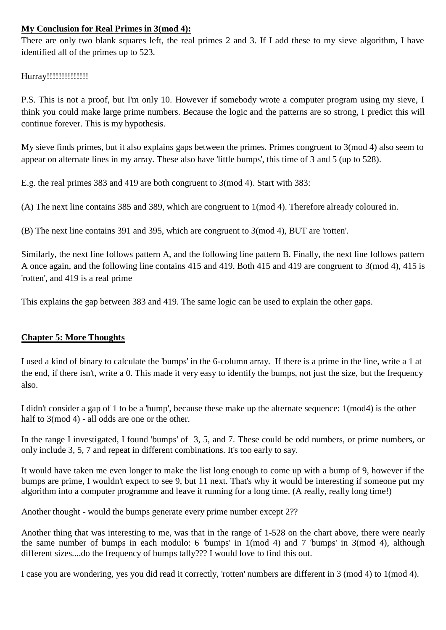## **My Conclusion for Real Primes in 3(mod 4):**

There are only two blank squares left, the real primes 2 and 3. If I add these to my sieve algorithm, I have identified all of the primes up to 523.

# Hurray!!!!!!!!!!!!!!!!

P.S. This is not a proof, but I'm only 10. However if somebody wrote a computer program using my sieve, I think you could make large prime numbers. Because the logic and the patterns are so strong, I predict this will continue forever. This is my hypothesis.

My sieve finds primes, but it also explains gaps between the primes. Primes congruent to 3(mod 4) also seem to appear on alternate lines in my array. These also have 'little bumps', this time of 3 and 5 (up to 528).

E.g. the real primes 383 and 419 are both congruent to 3(mod 4). Start with 383:

(A) The next line contains 385 and 389, which are congruent to 1(mod 4). Therefore already coloured in.

(B) The next line contains 391 and 395, which are congruent to 3(mod 4), BUT are 'rotten'.

Similarly, the next line follows pattern A, and the following line pattern B. Finally, the next line follows pattern A once again, and the following line contains 415 and 419. Both 415 and 419 are congruent to 3(mod 4), 415 is 'rotten', and 419 is a real prime

This explains the gap between 383 and 419. The same logic can be used to explain the other gaps.

# **Chapter 5: More Thoughts**

I used a kind of binary to calculate the 'bumps' in the 6-column array. If there is a prime in the line, write a 1 at the end, if there isn't, write a 0. This made it very easy to identify the bumps, not just the size, but the frequency also.

I didn't consider a gap of 1 to be a 'bump', because these make up the alternate sequence: 1(mod4) is the other half to 3(mod 4) - all odds are one or the other.

In the range I investigated, I found 'bumps' of 3, 5, and 7. These could be odd numbers, or prime numbers, or only include 3, 5, 7 and repeat in different combinations. It's too early to say.

It would have taken me even longer to make the list long enough to come up with a bump of 9, however if the bumps are prime, I wouldn't expect to see 9, but 11 next. That's why it would be interesting if someone put my algorithm into a computer programme and leave it running for a long time. (A really, really long time!)

Another thought - would the bumps generate every prime number except 2??

Another thing that was interesting to me, was that in the range of 1-528 on the chart above, there were nearly the same number of bumps in each modulo: 6 'bumps' in 1(mod 4) and 7 'bumps' in 3(mod 4), although different sizes....do the frequency of bumps tally??? I would love to find this out.

I case you are wondering, yes you did read it correctly, 'rotten' numbers are different in 3 (mod 4) to 1(mod 4).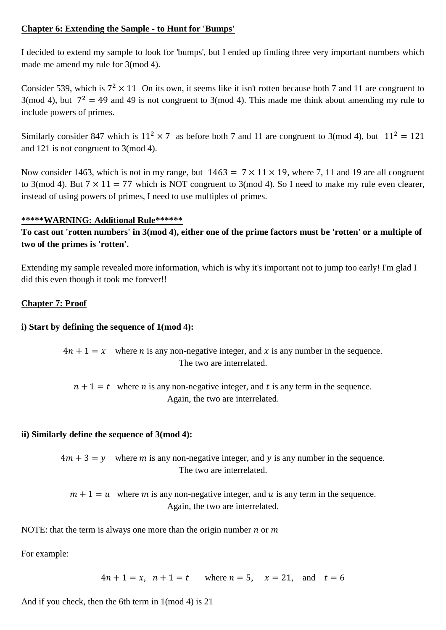#### **Chapter 6: Extending the Sample - to Hunt for 'Bumps'**

I decided to extend my sample to look for 'bumps', but I ended up finding three very important numbers which made me amend my rule for 3(mod 4).

Consider 539, which is  $7^2 \times 11$  On its own, it seems like it isn't rotten because both 7 and 11 are congruent to 3(mod 4), but  $7^2 = 49$  and 49 is not congruent to 3(mod 4). This made me think about amending my rule to include powers of primes.

Similarly consider 847 which is  $11^2 \times 7$  as before both 7 and 11 are congruent to 3(mod 4), but  $11^2 = 121$ and 121 is not congruent to 3(mod 4).

Now consider 1463, which is not in my range, but  $1463 = 7 \times 11 \times 19$ , where 7, 11 and 19 are all congruent to 3(mod 4). But  $7 \times 11 = 77$  which is NOT congruent to 3(mod 4). So I need to make my rule even clearer, instead of using powers of primes, I need to use multiples of primes.

#### **\*\*\*\*\*WARNING: Additional Rule\*\*\*\*\*\***

**To cast out 'rotten numbers' in 3(mod 4), either one of the prime factors must be 'rotten' or a multiple of two of the primes is 'rotten'.**

Extending my sample revealed more information, which is why it's important not to jump too early! I'm glad I did this even though it took me forever!!

### **Chapter 7: Proof**

### **i) Start by defining the sequence of 1(mod 4):**

 $4n + 1 = x$  where *n* is any non-negative integer, and *x* is any number in the sequence. The two are interrelated.

 $n + 1 = t$  where *n* is any non-negative integer, and *t* is any term in the sequence. Again, the two are interrelated.

### **ii) Similarly define the sequence of 3(mod 4):**

 $4m + 3 = y$  where m is any non-negative integer, and y is any number in the sequence. The two are interrelated.

 $m + 1 = u$  where m is any non-negative integer, and u is any term in the sequence. Again, the two are interrelated.

NOTE: that the term is always one more than the origin number  $n$  or  $m$ 

For example:

 $4n + 1 = x$ ,  $n + 1 = t$  where  $n = 5$ ,  $x = 21$ , and  $t = 6$ 

And if you check, then the 6th term in 1(mod 4) is 21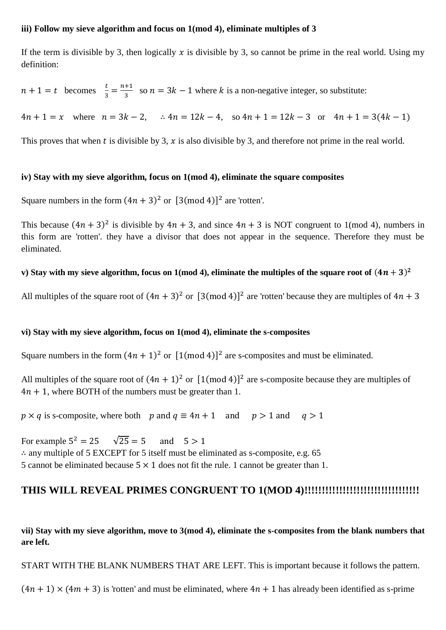#### **iii) Follow my sieve algorithm and focus on 1(mod 4), eliminate multiples of 3**

If the term is divisible by 3, then logically x is divisible by 3, so cannot be prime in the real world. Using my definition:

 $n+1 = t$  becomes  $\frac{t}{3} = \frac{n}{2}$  $\frac{1}{3}$  so  $n = 3k - 1$  where k is a non-negative integer, so substitute:

 $4n + 1 = x$  where  $n = 3k - 2$ ,  $\therefore 4n = 12k - 4$ , so  $4n + 1 = 12k - 3$  or  $4n + 1 = 3(4k - 1)$ 

This proves that when t is divisible by 3, x is also divisible by 3, and therefore not prime in the real world.

#### **iv) Stay with my sieve algorithm, focus on 1(mod 4), eliminate the square composites**

Square numbers in the form  $(4n + 3)^2$  or  $[3 \text{ (mod 4)}]^2$  are 'rotten'.

This because  $(4n + 3)^2$  is divisible by  $4n + 3$ , and since  $4n + 3$  is NOT congruent to 1(mod 4), numbers in this form are 'rotten'. they have a divisor that does not appear in the sequence. Therefore they must be eliminated.

#### **v**) Stay with my sieve algorithm, focus on 1(mod 4), eliminate the multiples of the square root of  $(4n + 3)^2$

All multiples of the square root of  $(4n + 3)^2$  or  $[3 \text{ (mod 4)}]^2$  are 'rotten' because they are multiples of

#### **vi) Stay with my sieve algorithm, focus on 1(mod 4), eliminate the s-composites**

Square numbers in the form  $(4n + 1)^2$  or  $[1 \text{ (mod } 4)]^2$  are s-composites and must be eliminated.

All multiples of the square root of  $(4n + 1)^2$  or  $[1 \text{ (mod 4)}]^2$  are s-composite because they are multiples of  $4n + 1$ , where BOTH of the numbers must be greater than 1.

 $p \times q$  is s-composite, where both p and  $q \equiv 4n + 1$  and  $p > 1$  and  $q > 1$ 

 $\sqrt{25} = 5$ For example  $5^2$ and  $5 > 1$  $\therefore$  any multiple of 5 EXCEPT for 5 itself must be eliminated as s-composite, e.g. 65 5 cannot be eliminated because  $5 \times 1$  does not fit the rule. 1 cannot be greater than 1.

# **THIS WILL REVEAL PRIMES CONGRUENT TO 1(MOD 4)!!!!!!!!!!!!!!!!!!!!!!!!!!!!!!!!!**

**vii) Stay with my sieve algorithm, move to 3(mod 4), eliminate the s-composites from the blank numbers that are left.**

START WITH THE BLANK NUMBERS THAT ARE LEFT. This is important because it follows the pattern.

 $(4n + 1) \times (4m + 3)$  is 'rotten' and must be eliminated, where  $4n + 1$  has already been identified as s-prime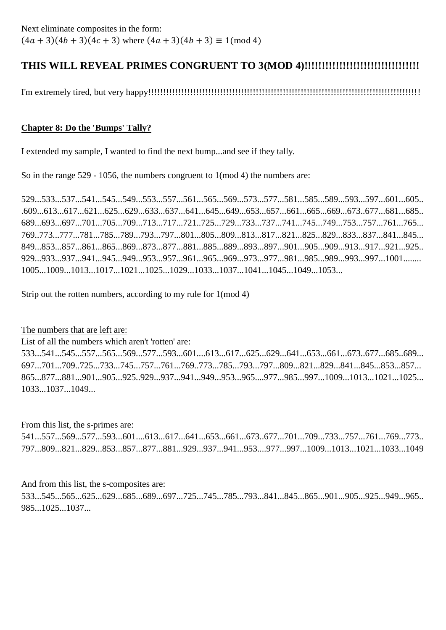# **THIS WILL REVEAL PRIMES CONGRUENT TO 3(MOD 4)!!!!!!!!!!!!!!!!!!!!!!!!!!!!!!!!!**

I'm extremely tired, but very happy!!!!!!!!!!!!!!!!!!!!!!!!!!!!!!!!!!!!!!!!!!!!!!!!!!!!!!!!!!!!!!!!!!!!!!!!!!!!!!!!!!!!!!!!!!!

# **Chapter 8: Do the 'Bumps' Tally?**

I extended my sample, I wanted to find the next bump...and see if they tally.

So in the range 529 - 1056, the numbers congruent to 1(mod 4) the numbers are:

529...533...537...541...545...549...553...557...561...565...569...573...577...581...585...589...593...597...601...605.. .609...613...617...621...625...629...633...637...641...645...649...653...657...661...665...669...673..677...681...685.. 689...693...697...701...705...709...713...717...721..725...729...733...737...741...745...749...753...757...761...765... 769..773...777...781...785...789...793...797...801...805...809...813...817...821...825...829...833...837...841...845... 849...853...857...861...865...869...873...877...881...885...889...893...897...901...905...909...913...917...921...925.. 929...933...937...941...945...949...953...957...961...965...969...973...977...981...985...989...993...997...1001........ 1005...1009...1013...1017...1021...1025...1029...1033...1037...1041...1045...1049...1053...

Strip out the rotten numbers, according to my rule for 1(mod 4)

The numbers that are left are:

List of all the numbers which aren't 'rotten' are:

533...541...545...557...565...569...577...593...601....613...617...625...629...641...653...661...673..677...685..689... 697...701...709..725...733...745...757...761...769..773...785...793...797...809...821...829...841...845...853...857... 865...877...881...901...905...925..929...937...941...949...953...965....977...985...997...1009...1013...1021...1025... 1033...1037...1049...

From this list, the s-primes are:

541...557...569...577...593...601....613...617...641...653...661...673..677...701...709...733...757...761...769...773.. 797...809...821...829...853...857...877...881...929...937...941...953....977...997...1009...1013...1021...1033...1049

And from this list, the s-composites are: 533...545...565...625...629...685...689...697...725...745...785...793...841...845...865...901...905...925...949...965.. 985...1025...1037...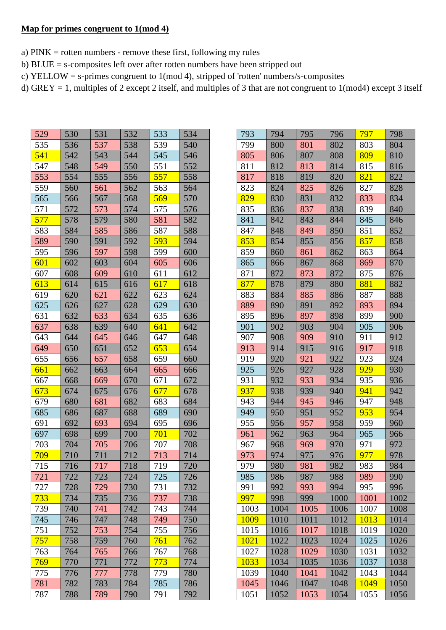#### **Map for primes congruent to 1(mod 4)**

- a) PINK = rotten numbers remove these first, following my rules
- b) BLUE = s-composites left over after rotten numbers have been stripped out
- c) YELLOW = s-primes congruent to 1(mod 4), stripped of 'rotten' numbers/s-composites
- d) GREY = 1, multiples of 2 except 2 itself, and multiples of 3 that are not congruent to 1(mod4) except 3 itself

| 529 | 530 | 531 | 532 | 533 | 534 |
|-----|-----|-----|-----|-----|-----|
| 535 | 536 | 537 | 538 | 539 | 540 |
| 541 | 542 | 543 | 544 | 545 | 546 |
| 547 | 548 | 549 | 550 | 551 | 552 |
| 553 | 554 | 555 | 556 | 557 | 558 |
| 559 | 560 | 561 | 562 | 563 | 564 |
| 565 | 566 | 567 | 568 | 569 | 570 |
| 571 | 572 | 573 | 574 | 575 | 576 |
| 577 | 578 | 579 | 580 | 581 | 582 |
| 583 | 584 | 585 | 586 | 587 | 588 |
| 589 | 590 | 591 | 592 | 593 | 594 |
| 595 | 596 | 597 | 598 | 599 | 600 |
| 601 | 602 | 603 | 604 | 605 | 606 |
| 607 | 608 | 609 | 610 | 611 | 612 |
| 613 | 614 | 615 | 616 | 617 | 618 |
| 619 | 620 | 621 | 622 | 623 | 624 |
| 625 | 626 | 627 | 628 | 629 | 630 |
| 631 | 632 | 633 | 634 | 635 | 636 |
| 637 | 638 | 639 | 640 | 641 | 642 |
| 643 | 644 | 645 | 646 | 647 | 648 |
| 649 | 650 | 651 | 652 | 653 | 654 |
| 655 | 656 | 657 | 658 | 659 | 660 |
| 661 | 662 | 663 | 664 | 665 | 666 |
| 667 | 668 | 669 | 670 | 671 | 672 |
| 673 | 674 | 675 | 676 | 677 | 678 |
| 679 | 680 | 681 | 682 | 683 | 684 |
| 685 | 686 | 687 | 688 | 689 | 690 |
| 691 | 692 | 693 | 694 | 695 | 696 |
| 697 | 698 | 699 | 700 | 701 | 702 |
| 703 | 704 | 705 | 706 | 707 | 708 |
| 709 | 710 | 711 | 712 | 713 | 714 |
| 715 | 716 | 717 | 718 | 719 | 720 |
| 721 | 722 | 723 | 724 | 725 | 726 |
| 727 | 728 | 729 | 730 | 731 | 732 |
| 733 | 734 | 735 | 736 | 737 | 738 |
| 739 | 740 | 741 | 742 | 743 | 744 |
| 745 | 746 | 747 | 748 | 749 | 750 |
| 751 | 752 | 753 | 754 | 755 | 756 |
| 757 | 758 | 759 | 760 | 761 | 762 |
| 763 | 764 | 765 | 766 | 767 | 768 |
| 769 | 770 | 771 | 772 | 773 | 774 |
| 775 | 776 | 777 | 778 | 779 | 780 |
| 781 | 782 | 783 | 784 | 785 | 786 |
| 787 | 788 | 789 | 790 | 791 | 792 |

| 793  | 794  | 795  | 796  | 797  | 798  |
|------|------|------|------|------|------|
| 799  | 800  | 801  | 802  | 803  | 804  |
| 805  | 806  | 807  | 808  | 809  | 810  |
| 811  | 812  | 813  | 814  | 815  | 816  |
| 817  | 818  | 819  | 820  | 821  | 822  |
| 823  | 824  | 825  | 826  | 827  | 828  |
| 829  | 830  | 831  | 832  | 833  | 834  |
| 835  | 836  | 837  | 838  | 839  | 840  |
| 841  | 842  | 843  | 844  | 845  | 846  |
| 847  | 848  | 849  | 850  | 851  | 852  |
| 853  | 854  | 855  | 856  | 857  | 858  |
| 859  | 860  | 861  | 862  | 863  | 864  |
| 865  | 866  | 867  | 868  | 869  | 870  |
| 871  | 872  | 873  | 872  | 875  | 876  |
| 877  | 878  | 879  | 880  | 881  | 882  |
| 883  | 884  | 885  | 886  | 887  | 888  |
| 889  | 890  | 891  | 892  | 893  | 894  |
| 895  | 896  | 897  | 898  | 899  | 900  |
| 901  | 902  | 903  | 904  | 905  | 906  |
| 907  | 908  | 909  | 910  | 911  | 912  |
| 913  | 914  | 915  | 916  | 917  | 918  |
| 919  | 920  | 921  | 922  | 923  | 924  |
| 925  | 926  | 927  | 928  | 929  | 930  |
| 931  | 932  | 933  | 934  | 935  | 936  |
| 937  | 938  | 939  | 940  | 941  | 942  |
| 943  | 944  | 945  | 946  | 947  | 948  |
| 949  | 950  | 951  | 952  | 953  | 954  |
| 955  | 956  | 957  | 958  | 959  | 960  |
| 961  | 962  | 963  | 964  | 965  | 966  |
| 967  | 968  | 969  | 970  | 971  | 972  |
| 973  | 974  | 975  | 976  | 977  | 978  |
| 979  | 980  | 981  | 982  | 983  | 984  |
| 985  | 986  | 987  | 988  | 989  | 990  |
| 991  | 992  | 993  | 994  | 995  | 996  |
| 997  | 998  | 999  | 1000 | 1001 | 1002 |
| 1003 | 1004 | 1005 | 1006 | 1007 | 1008 |
| 1009 | 1010 | 1011 | 1012 | 1013 | 1014 |
| 1015 | 1016 | 1017 | 1018 | 1019 | 1020 |
| 1021 | 1022 | 1023 | 1024 | 1025 | 1026 |
| 1027 | 1028 | 1029 | 1030 | 1031 | 1032 |
| 1033 | 1034 | 1035 | 1036 | 1037 | 1038 |
| 1039 | 1040 | 1041 | 1042 | 1043 | 1044 |
| 1045 | 1046 | 1047 | 1048 | 1049 | 1050 |
| 1051 | 1052 | 1053 | 1054 | 1055 | 1056 |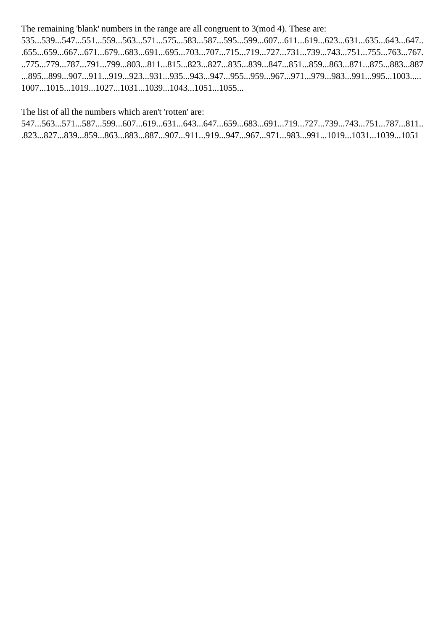## The remaining 'blank' numbers in the range are all congruent to 3(mod 4). These are:

535...539...547...551...559...563...571...575...583...587...595...599...607...611...619...623...631...635...643...647.. .655...659...667...671...679...683...691...695...703...707...715...719...727...731...739...743...751...755...763...767. ..775...779...787...791...799...803...811...815...823...827...835...839...847...851...859...863...871...875...883...887 ...895...899...907...911...919...923...931...935...943...947...955...959...967...971...979...983...991...995...1003..... 1007...1015...1019...1027...1031...1039...1043...1051...1055...

The list of all the numbers which aren't 'rotten' are:

547...563...571...587...599...607...619...631...643...647...659...683...691...719...727...739...743...751...787...811.. .823...827...839...859...863...883...887...907...911...919...947...967...971...983...991...1019...1031...1039...1051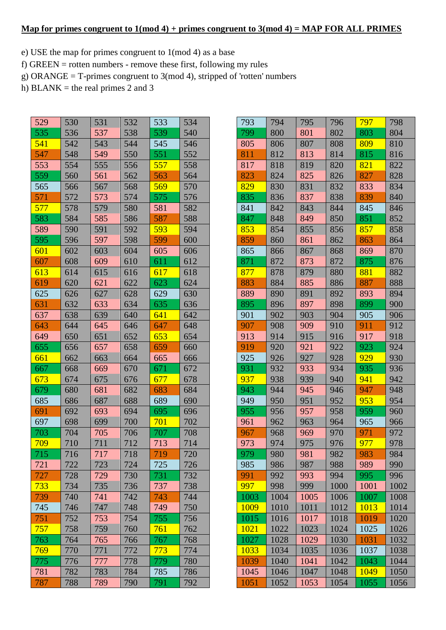#### **Map for primes congruent to 1(mod 4) + primes congruent to 3(mod 4) = MAP FOR ALL PRIMES**

- e) USE the map for primes congruent to 1(mod 4) as a base
- f) GREEN = rotten numbers remove these first, following my rules
- g) ORANGE = T-primes congruent to 3(mod 4), stripped of 'rotten' numbers
- h) BLANK = the real primes 2 and 3

| 529 | 530 | 531 | 532 | 533        | 534 |
|-----|-----|-----|-----|------------|-----|
| 535 | 536 | 537 | 538 | 539        | 540 |
| 541 | 542 | 543 | 544 | 545        | 546 |
| 547 | 548 | 549 | 550 | 551        | 552 |
| 553 | 554 | 555 | 556 | 557        | 558 |
| 559 | 560 | 561 | 562 | 563        | 564 |
| 565 | 566 | 567 | 568 | 569        | 570 |
| 571 | 572 | 573 | 574 | 575        | 576 |
| 577 | 578 | 579 | 580 | 581        | 582 |
| 583 | 584 | 585 | 586 | 587        | 588 |
| 589 | 590 | 591 | 592 | 593        | 594 |
| 595 | 596 | 597 | 598 | 599        | 600 |
| 601 | 602 | 603 | 604 | 605        | 606 |
| 607 | 608 | 609 | 610 | 611        | 612 |
| 613 | 614 | 615 | 616 | 617        | 618 |
| 619 | 620 | 621 | 622 | 623        | 624 |
| 625 | 626 | 627 | 628 | 629        | 630 |
| 631 | 632 | 633 | 634 | 635        | 636 |
| 637 | 638 | 639 | 640 | 641        | 642 |
| 643 | 644 | 645 | 646 | 647        | 648 |
| 649 | 650 | 651 | 652 | 653        | 654 |
| 655 | 656 | 657 | 658 | 659        | 660 |
| 661 | 662 | 663 | 664 | 665        | 666 |
| 667 | 668 | 669 | 670 | 671        | 672 |
| 673 | 674 | 675 | 676 | 677        | 678 |
| 679 | 680 | 681 | 682 | 683        | 684 |
| 685 | 686 | 687 | 688 | 689        | 690 |
| 691 | 692 | 693 | 694 | 695        | 696 |
| 697 | 698 | 699 | 700 | 701        | 702 |
| 703 | 704 | 705 | 706 | 707        | 708 |
| 709 | 710 | 711 | 712 | 713        | 714 |
| 715 | 716 | 717 | 718 | 719        | 720 |
| 721 | 722 | 723 | 724 | 725        | 726 |
| 727 | 728 | 729 | 730 | 731        | 732 |
| 733 | 734 | 735 | 736 | 737        | 738 |
| 739 | 740 | 741 | 742 | 743        | 744 |
| 745 | 746 | 747 | 748 | 749        | 750 |
| 751 | 752 | 753 | 754 | 755        | 756 |
| 757 | 758 | 759 | 760 | <u>761</u> | 762 |
| 763 | 764 | 765 | 766 | 767        | 768 |
| 769 | 770 | 771 | 772 | <u>773</u> | 774 |
| 775 | 776 | 777 | 778 | 779        | 780 |
| 781 | 782 | 783 | 784 | 785        | 786 |
| 787 | 788 | 789 | 790 | 791        | 792 |

| 793  | 794  | 795  | 796  | 797  | 798  |
|------|------|------|------|------|------|
| 799  | 800  | 801  | 802  | 803  | 804  |
| 805  | 806  | 807  | 808  | 809  | 810  |
| 811  | 812  | 813  | 814  | 815  | 816  |
| 817  | 818  | 819  | 820  | 821  | 822  |
| 823  | 824  | 825  | 826  | 827  | 828  |
| 829  | 830  | 831  | 832  | 833  | 834  |
| 835  | 836  | 837  | 838  | 839  | 840  |
| 841  | 842  | 843  | 844  | 845  | 846  |
| 847  | 848  | 849  | 850  | 851  | 852  |
| 853  | 854  | 855  | 856  | 857  | 858  |
| 859  | 860  | 861  | 862  | 863  | 864  |
| 865  | 866  | 867  | 868  | 869  | 870  |
| 871  | 872  | 873  | 872  | 875  | 876  |
| 877  | 878  | 879  | 880  | 881  | 882  |
| 883  | 884  | 885  | 886  | 887  | 888  |
| 889  | 890  | 891  | 892  | 893  | 894  |
| 895  | 896  | 897  | 898  | 899  | 900  |
| 901  | 902  | 903  | 904  | 905  | 906  |
| 907  | 908  | 909  | 910  | 911  | 912  |
| 913  | 914  | 915  | 916  | 917  | 918  |
| 919  | 920  | 921  | 922  | 923  | 924  |
| 925  | 926  | 927  | 928  | 929  | 930  |
| 931  | 932  | 933  | 934  | 935  | 936  |
| 937  | 938  | 939  | 940  | 941  | 942  |
| 943  | 944  | 945  | 946  | 947  | 948  |
| 949  | 950  | 951  | 952  | 953  | 954  |
| 955  | 956  | 957  | 958  | 959  | 960  |
| 961  | 962  | 963  | 964  | 965  | 966  |
| 967  | 968  | 969  | 970  | 971  | 972  |
| 973  | 974  | 975  | 976  | 977  | 978  |
| 979  | 980  | 981  | 982  | 983  | 984  |
| 985  | 986  | 987  | 988  | 989  | 990  |
| 991  | 992  | 993  | 994  | 995  | 996  |
| 997  | 998  | 999  | 1000 | 1001 | 1002 |
| 1003 | 1004 | 1005 | 1006 | 1007 | 1008 |
| 1009 | 1010 | 1011 | 1012 | 1013 | 1014 |
| 1015 | 1016 | 1017 | 1018 | 1019 | 1020 |
| 1021 | 1022 | 1023 | 1024 | 1025 | 1026 |
| 1027 | 1028 | 1029 | 1030 | 1031 | 1032 |
| 1033 | 1034 | 1035 | 1036 | 1037 | 1038 |
| 1039 | 1040 | 1041 | 1042 | 1043 | 1044 |
| 1045 | 1046 | 1047 | 1048 | 1049 | 1050 |
| 1051 | 1052 | 1053 | 1054 | 1055 | 1056 |